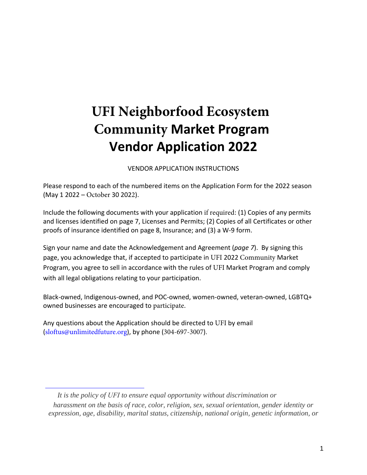## **UFI Neighborfood Ecosystem Community Market Program Vendor Application 2022**

VENDOR APPLICATION INSTRUCTIONS

Please respond to each of the numbered items on the Application Form for the 2022 season (May 1 2022 – October 30 2022).

Include the following documents with your application if required: (1) Copies of any permits and licenses identified on page 7, Licenses and Permits; (2) Copies of all Certificates or other proofs of insurance identified on page 8, Insurance; and (3) a W-9 form.

Sign your name and date the Acknowledgement and Agreement (*page 7*). By signing this page, you acknowledge that, if accepted to participate in UFI 2022 Community Market Program, you agree to sell in accordance with the rules of UFI Market Program and comply with all legal obligations relating to your participation.

[Black-owned, Indigenous-owned, and POC-owned, wom](https://farmspread.com/market/18661/the-food-trust-farmers-market-main-page/)en-owned, veteran-owned, LGBTQ+ owned businesses are encouraged to participate.

Any questions about the Application should be directed to UFI by email ([sloftus@unlimitedfuture.org](mailto:farmersmarket@thefoodtrust.org)), by phone (304-697-3007).

*It is the policy of UFI to ensure equal opportunity without discrimination or harassment on the basis of race, color, religion, sex, sexual orientation, gender identity or expression, age, disability, marital status, citizenship, national origin, genetic information, or*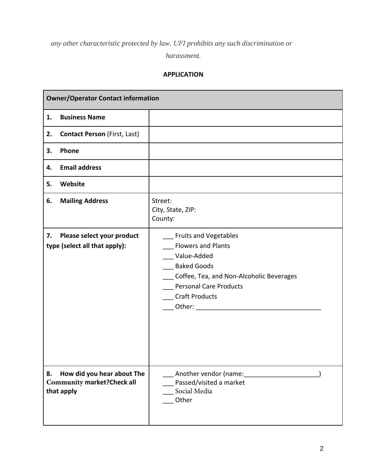*any other characteristic protected by law. UFI prohibits any such discrimination or*

*harassment.*

## **APPLICATION**

| <b>Owner/Operator Contact information</b> |                                                                                |                                                                                                                                                                                                      |  |  |  |
|-------------------------------------------|--------------------------------------------------------------------------------|------------------------------------------------------------------------------------------------------------------------------------------------------------------------------------------------------|--|--|--|
| 1.                                        | <b>Business Name</b>                                                           |                                                                                                                                                                                                      |  |  |  |
| 2.                                        | <b>Contact Person (First, Last)</b>                                            |                                                                                                                                                                                                      |  |  |  |
| 3.                                        | Phone                                                                          |                                                                                                                                                                                                      |  |  |  |
| 4.                                        | <b>Email address</b>                                                           |                                                                                                                                                                                                      |  |  |  |
| 5.                                        | Website                                                                        |                                                                                                                                                                                                      |  |  |  |
| 6.                                        | <b>Mailing Address</b>                                                         | Street:<br>City, State, ZIP:<br>County:                                                                                                                                                              |  |  |  |
| 7.                                        | Please select your product<br>type (select all that apply):                    | <b>Fruits and Vegetables</b><br><b>Flowers and Plants</b><br>Value-Added<br><b>Baked Goods</b><br>Coffee, Tea, and Non-Alcoholic Beverages<br><b>Personal Care Products</b><br><b>Craft Products</b> |  |  |  |
| 8.                                        | How did you hear about The<br><b>Community market? Check all</b><br>that apply | Another vendor (name:<br>Passed/visited a market<br>Social Media<br>Other                                                                                                                            |  |  |  |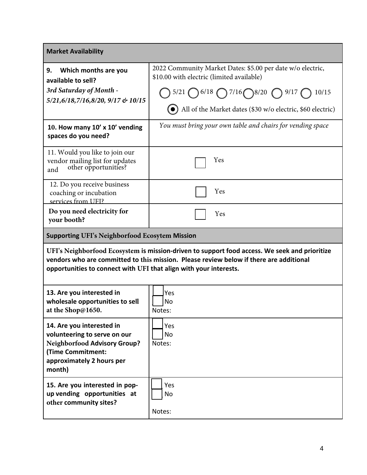| <b>Market Availability</b>                                                                                                                                                                                                                                   |                                                                                                                                                                                                                                                         |  |  |  |  |
|--------------------------------------------------------------------------------------------------------------------------------------------------------------------------------------------------------------------------------------------------------------|---------------------------------------------------------------------------------------------------------------------------------------------------------------------------------------------------------------------------------------------------------|--|--|--|--|
| Which months are you<br>9.<br>available to sell?<br>3rd Saturday of Month -<br>5/21,6/18,7/16,8/20, 9/17 & 10/15                                                                                                                                             | 2022 Community Market Dates: \$5.00 per date w/o electric,<br>\$10.00 with electric (limited available)<br>$(5/21 \bigodot 6/18 \bigodot 7/16 \bigodot 8/20 \bigodot 9/17 \bigodot 10/15$<br>All of the Market dates (\$30 w/o electric, \$60 electric) |  |  |  |  |
| 10. How many 10' x 10' vending<br>spaces do you need?                                                                                                                                                                                                        | You must bring your own table and chairs for vending space                                                                                                                                                                                              |  |  |  |  |
| 11. Would you like to join our<br>vendor mailing list for updates<br>and other opportunities?<br>and                                                                                                                                                         | Yes                                                                                                                                                                                                                                                     |  |  |  |  |
| 12. Do you receive business<br>coaching or incubation<br>services from UFI?                                                                                                                                                                                  | Yes                                                                                                                                                                                                                                                     |  |  |  |  |
| Do you need electricity for<br>your booth?                                                                                                                                                                                                                   | Yes                                                                                                                                                                                                                                                     |  |  |  |  |
| <b>Supporting UFI's Neighborfood Ecosytem Mission</b>                                                                                                                                                                                                        |                                                                                                                                                                                                                                                         |  |  |  |  |
| UFI's Neighborfood Ecosystem is mission-driven to support food access. We seek and prioritize<br>vendors who are committed to this mission. Please review below if there are additional<br>opportunities to connect with UFI that align with your interests. |                                                                                                                                                                                                                                                         |  |  |  |  |
| 13. Are you interested in<br>wholesale opportunities to sell<br>at the Shop@1650.                                                                                                                                                                            | Yes<br>No<br>Notes:                                                                                                                                                                                                                                     |  |  |  |  |
| 14. Are you interested in<br>volunteering to serve on our<br><b>Neighborfood Advisory Group?</b><br>(Time Commitment:<br>approximately 2 hours per<br>month)                                                                                                 | Yes<br>No<br>Notes:                                                                                                                                                                                                                                     |  |  |  |  |
| 15. Are you interested in pop-<br>up vending opportunities at<br>other community sites?                                                                                                                                                                      | Yes<br>No<br>Notes:                                                                                                                                                                                                                                     |  |  |  |  |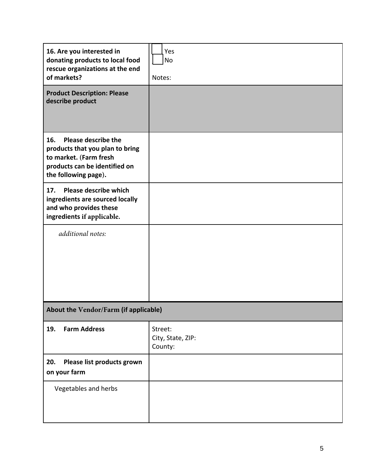| 16. Are you interested in<br>donating products to local food<br>rescue organizations at the end<br>of markets?                                          | Yes<br>No<br>Notes:                     |  |  |  |
|---------------------------------------------------------------------------------------------------------------------------------------------------------|-----------------------------------------|--|--|--|
| <b>Product Description: Please</b><br>describe product                                                                                                  |                                         |  |  |  |
| <b>Please describe the</b><br>16.<br>products that you plan to bring<br>to market. (Farm fresh<br>products can be identified on<br>the following page). |                                         |  |  |  |
| Please describe which<br>17.<br>ingredients are sourced locally<br>and who provides these<br>ingredients if applicable.                                 |                                         |  |  |  |
| additional notes:                                                                                                                                       |                                         |  |  |  |
| About the Vendor/Farm (if applicable)                                                                                                                   |                                         |  |  |  |
| <b>Farm Address</b><br>19.                                                                                                                              | Street:<br>City, State, ZIP:<br>County: |  |  |  |
| Please list products grown<br>20.<br>on your farm                                                                                                       |                                         |  |  |  |
| Vegetables and herbs                                                                                                                                    |                                         |  |  |  |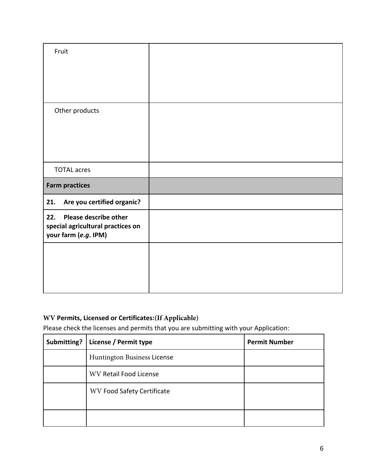| Fruit                                                                                     |  |
|-------------------------------------------------------------------------------------------|--|
|                                                                                           |  |
|                                                                                           |  |
| Other products                                                                            |  |
|                                                                                           |  |
|                                                                                           |  |
|                                                                                           |  |
| <b>TOTAL acres</b>                                                                        |  |
| <b>Farm practices</b>                                                                     |  |
| Are you certified organic?<br>21.                                                         |  |
| Please describe other<br>22.<br>special agricultural practices on<br>your farm (e.g. IPM) |  |
|                                                                                           |  |
|                                                                                           |  |
|                                                                                           |  |

## **WV Permits, Licensed or Certificates:(If Applicable)**

Please check the licenses and permits that you are submitting with your Application:

| Submitting? | License / Permit type             | <b>Permit Number</b> |
|-------------|-----------------------------------|----------------------|
|             | Huntington Business License       |                      |
|             | <b>WV Retail Food License</b>     |                      |
|             | <b>WV Food Safety Certificate</b> |                      |
|             |                                   |                      |